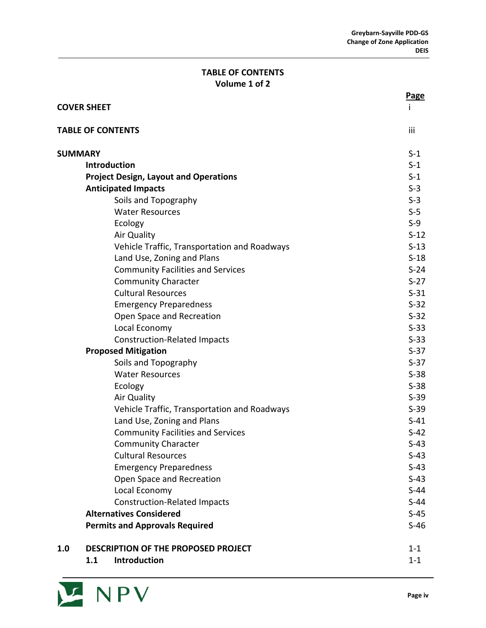## **TABLE OF CONTENTS Volume 1 of 2**

|     |                                              | <b>Page</b> |
|-----|----------------------------------------------|-------------|
|     | <b>COVER SHEET</b>                           |             |
|     | <b>TABLE OF CONTENTS</b>                     | iii         |
|     | <b>SUMMARY</b>                               | $S-1$       |
|     | <b>Introduction</b>                          | $S-1$       |
|     | <b>Project Design, Layout and Operations</b> | $S-1$       |
|     | <b>Anticipated Impacts</b>                   | $S-3$       |
|     | Soils and Topography                         | $S-3$       |
|     | <b>Water Resources</b>                       | $S-5$       |
|     | Ecology                                      | $S-9$       |
|     | Air Quality                                  | $S-12$      |
|     | Vehicle Traffic, Transportation and Roadways | $S-13$      |
|     | Land Use, Zoning and Plans                   | $S-18$      |
|     | <b>Community Facilities and Services</b>     | $S-24$      |
|     | <b>Community Character</b>                   | $S-27$      |
|     | <b>Cultural Resources</b>                    | $S-31$      |
|     | <b>Emergency Preparedness</b>                | $S-32$      |
|     | Open Space and Recreation                    | $S-32$      |
|     | Local Economy                                | $S-33$      |
|     | <b>Construction-Related Impacts</b>          | $S-33$      |
|     | <b>Proposed Mitigation</b>                   | $S-37$      |
|     | Soils and Topography                         | $S-37$      |
|     | <b>Water Resources</b>                       | $S-38$      |
|     | Ecology                                      | $S-38$      |
|     | Air Quality                                  | $S-39$      |
|     | Vehicle Traffic, Transportation and Roadways | $S-39$      |
|     | Land Use, Zoning and Plans                   | $S-41$      |
|     | <b>Community Facilities and Services</b>     | $S-42$      |
|     | <b>Community Character</b>                   | $S-43$      |
|     | <b>Cultural Resources</b>                    | $S-43$      |
|     | <b>Emergency Preparedness</b>                | $S-43$      |
|     | Open Space and Recreation                    | $S-43$      |
|     | Local Economy                                | $S-44$      |
|     | <b>Construction-Related Impacts</b>          | $S-44$      |
|     | <b>Alternatives Considered</b>               | $S-45$      |
|     | <b>Permits and Approvals Required</b>        | $S-46$      |
| 1.0 | DESCRIPTION OF THE PROPOSED PROJECT          | $1 - 1$     |
|     | Introduction<br>1.1                          | $1 - 1$     |

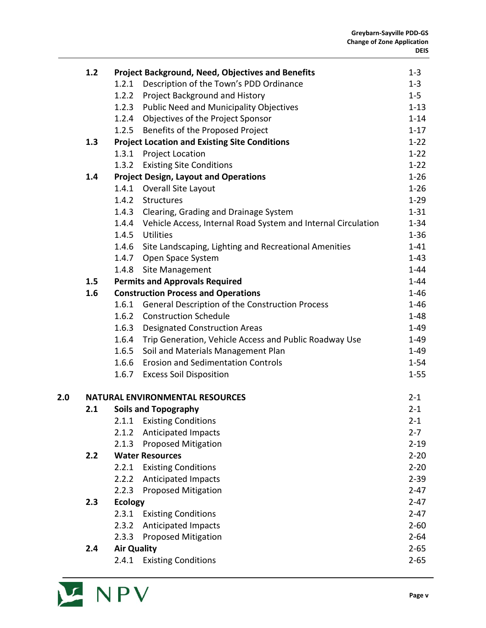|     | 1.2 |                    | <b>Project Background, Need, Objectives and Benefits</b>      | $1 - 3$  |
|-----|-----|--------------------|---------------------------------------------------------------|----------|
|     |     | 1.2.1              | Description of the Town's PDD Ordinance                       | $1 - 3$  |
|     |     | 1.2.2              | Project Background and History                                | $1 - 5$  |
|     |     | 1.2.3              | <b>Public Need and Municipality Objectives</b>                | $1 - 13$ |
|     |     |                    | 1.2.4 Objectives of the Project Sponsor                       | $1 - 14$ |
|     |     | 1.2.5              | Benefits of the Proposed Project                              | $1 - 17$ |
|     | 1.3 |                    | <b>Project Location and Existing Site Conditions</b>          | $1 - 22$ |
|     |     | 1.3.1              | <b>Project Location</b>                                       | $1 - 22$ |
|     |     | 1.3.2              | <b>Existing Site Conditions</b>                               | $1 - 22$ |
|     | 1.4 |                    | <b>Project Design, Layout and Operations</b>                  | $1 - 26$ |
|     |     | 1.4.1              | Overall Site Layout                                           | $1 - 26$ |
|     |     | 1.4.2              | Structures                                                    | $1-29$   |
|     |     | 1.4.3              | Clearing, Grading and Drainage System                         | $1 - 31$ |
|     |     | 1.4.4              | Vehicle Access, Internal Road System and Internal Circulation | $1 - 34$ |
|     |     | 1.4.5              | <b>Utilities</b>                                              | $1 - 36$ |
|     |     | 1.4.6              | Site Landscaping, Lighting and Recreational Amenities         | $1 - 41$ |
|     |     | 1.4.7              | Open Space System                                             | $1 - 43$ |
|     |     | 1.4.8              | <b>Site Management</b>                                        | $1 - 44$ |
|     | 1.5 |                    | <b>Permits and Approvals Required</b>                         | $1 - 44$ |
|     | 1.6 |                    | <b>Construction Process and Operations</b>                    | $1 - 46$ |
|     |     |                    | 1.6.1 General Description of the Construction Process         | $1 - 46$ |
|     |     | 1.6.2              | <b>Construction Schedule</b>                                  | $1 - 48$ |
|     |     |                    | 1.6.3 Designated Construction Areas                           | $1 - 49$ |
|     |     | 1.6.4              | Trip Generation, Vehicle Access and Public Roadway Use        | $1 - 49$ |
|     |     | 1.6.5              | Soil and Materials Management Plan                            | $1 - 49$ |
|     |     | 1.6.6              | <b>Erosion and Sedimentation Controls</b>                     | $1 - 54$ |
|     |     | 1.6.7              | <b>Excess Soil Disposition</b>                                | $1 - 55$ |
| 2.0 |     |                    | <b>NATURAL ENVIRONMENTAL RESOURCES</b>                        | $2 - 1$  |
|     | 2.1 |                    | <b>Soils and Topography</b>                                   | $2 - 1$  |
|     |     |                    | 2.1.1 Existing Conditions                                     | $2 - 1$  |
|     |     | 2.1.2              | <b>Anticipated Impacts</b>                                    | $2 - 7$  |
|     |     | 2.1.3              | Proposed Mitigation                                           | $2 - 19$ |
|     | 2.2 |                    | <b>Water Resources</b>                                        | $2 - 20$ |
|     |     | 2.2.1              | <b>Existing Conditions</b>                                    | $2 - 20$ |
|     |     | 2.2.2              | <b>Anticipated Impacts</b>                                    | $2 - 39$ |
|     |     | 2.2.3              | <b>Proposed Mitigation</b>                                    | $2 - 47$ |
|     | 2.3 | <b>Ecology</b>     |                                                               | $2 - 47$ |
|     |     | 2.3.1              | <b>Existing Conditions</b>                                    | $2 - 47$ |
|     |     | 2.3.2              | <b>Anticipated Impacts</b>                                    | $2 - 60$ |
|     |     | 2.3.3              | <b>Proposed Mitigation</b>                                    | $2 - 64$ |
|     | 2.4 | <b>Air Quality</b> |                                                               | $2 - 65$ |
|     |     | 2.4.1              | <b>Existing Conditions</b>                                    | $2 - 65$ |
|     |     |                    |                                                               |          |

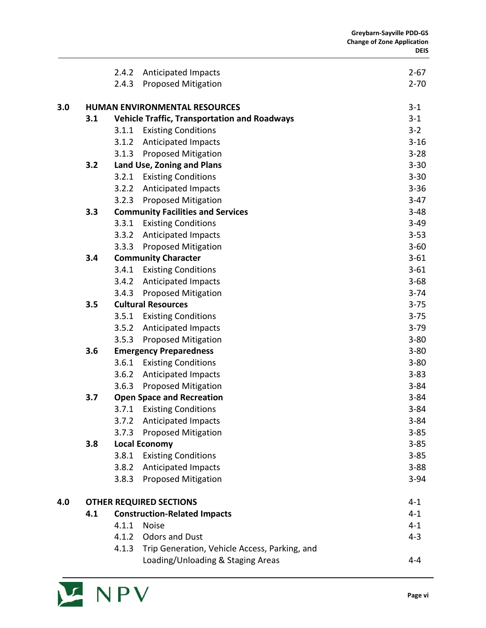|     |                                      | 2.4.2                         | Anticipated Impacts                                 | $2 - 67$ |
|-----|--------------------------------------|-------------------------------|-----------------------------------------------------|----------|
|     |                                      | 2.4.3                         | Proposed Mitigation                                 | $2 - 70$ |
| 3.0 | <b>HUMAN ENVIRONMENTAL RESOURCES</b> |                               |                                                     |          |
|     | 3.1                                  |                               | <b>Vehicle Traffic, Transportation and Roadways</b> | $3 - 1$  |
|     |                                      | 3.1.1                         | <b>Existing Conditions</b>                          | $3 - 2$  |
|     |                                      | 3.1.2                         | <b>Anticipated Impacts</b>                          | $3 - 16$ |
|     |                                      | 3.1.3                         | <b>Proposed Mitigation</b>                          | $3 - 28$ |
|     | 3.2                                  |                               | Land Use, Zoning and Plans                          | $3 - 30$ |
|     |                                      |                               | 3.2.1 Existing Conditions                           | $3 - 30$ |
|     |                                      | 3.2.2                         | <b>Anticipated Impacts</b>                          | $3 - 36$ |
|     |                                      | 3.2.3                         | <b>Proposed Mitigation</b>                          | $3-47$   |
|     | 3.3                                  |                               | <b>Community Facilities and Services</b>            | $3 - 48$ |
|     |                                      | 3.3.1                         | <b>Existing Conditions</b>                          | $3 - 49$ |
|     |                                      | 3.3.2                         | <b>Anticipated Impacts</b>                          | $3 - 53$ |
|     |                                      | 3.3.3                         | <b>Proposed Mitigation</b>                          | $3 - 60$ |
|     | 3.4                                  |                               | <b>Community Character</b>                          | $3 - 61$ |
|     |                                      | 3.4.1                         | <b>Existing Conditions</b>                          | $3 - 61$ |
|     |                                      | 3.4.2                         | <b>Anticipated Impacts</b>                          | $3 - 68$ |
|     |                                      | 3.4.3                         | Proposed Mitigation                                 | $3 - 74$ |
|     | 3.5                                  |                               | <b>Cultural Resources</b>                           | $3 - 75$ |
|     |                                      | 3.5.1                         | <b>Existing Conditions</b>                          | $3 - 75$ |
|     |                                      | 3.5.2                         | Anticipated Impacts                                 | $3 - 79$ |
|     |                                      | 3.5.3                         | <b>Proposed Mitigation</b>                          | $3 - 80$ |
|     | 3.6                                  | <b>Emergency Preparedness</b> | $3 - 80$                                            |          |
|     |                                      | 3.6.1                         | <b>Existing Conditions</b>                          | $3 - 80$ |
|     |                                      | 3.6.2                         | <b>Anticipated Impacts</b>                          | $3 - 83$ |
|     |                                      | 3.6.3                         | <b>Proposed Mitigation</b>                          | $3 - 84$ |
|     | 3.7                                  |                               | <b>Open Space and Recreation</b>                    | $3 - 84$ |
|     |                                      |                               | 3.7.1 Existing Conditions                           | $3 - 84$ |
|     |                                      | 3.7.2                         | <b>Anticipated Impacts</b>                          | $3 - 84$ |
|     |                                      | 3.7.3                         | Proposed Mitigation                                 | $3 - 85$ |
|     | 3.8                                  |                               | <b>Local Economy</b>                                | $3 - 85$ |
|     |                                      | 3.8.1                         | <b>Existing Conditions</b>                          | $3 - 85$ |
|     |                                      | 3.8.2                         | Anticipated Impacts                                 | $3 - 88$ |
|     |                                      | 3.8.3                         | <b>Proposed Mitigation</b>                          | $3 - 94$ |
| 4.0 | <b>OTHER REQUIRED SECTIONS</b>       |                               |                                                     | $4 - 1$  |
|     | 4.1                                  |                               | <b>Construction-Related Impacts</b>                 | $4 - 1$  |
|     |                                      | 4.1.1                         | <b>Noise</b>                                        | $4 - 1$  |
|     |                                      | 4.1.2                         | <b>Odors and Dust</b>                               | $4 - 3$  |
|     |                                      | 4.1.3                         | Trip Generation, Vehicle Access, Parking, and       |          |
|     |                                      |                               | Loading/Unloading & Staging Areas                   | $4 - 4$  |

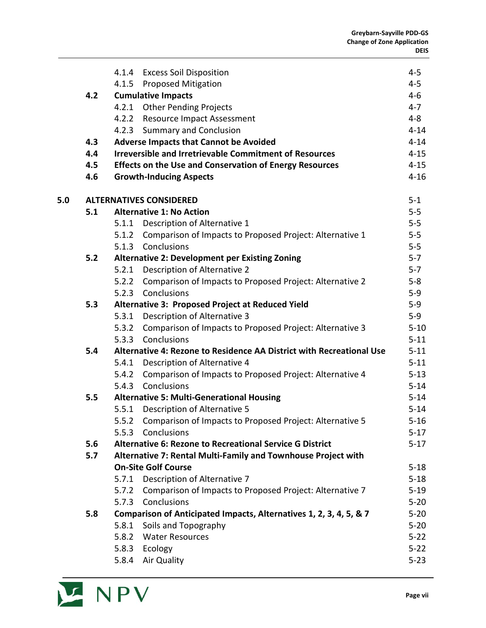|     |     |       | 4.1.4 Excess Soil Disposition                                        | $4 - 5$  |
|-----|-----|-------|----------------------------------------------------------------------|----------|
|     |     |       | 4.1.5 Proposed Mitigation                                            | $4-5$    |
|     | 4.2 |       | <b>Cumulative Impacts</b>                                            | $4-6$    |
|     |     |       | 4.2.1 Other Pending Projects                                         | $4 - 7$  |
|     |     |       | 4.2.2 Resource Impact Assessment                                     | $4 - 8$  |
|     |     | 4.2.3 | <b>Summary and Conclusion</b>                                        | $4 - 14$ |
|     | 4.3 |       | <b>Adverse Impacts that Cannot be Avoided</b>                        | $4 - 14$ |
|     | 4.4 |       | <b>Irreversible and Irretrievable Commitment of Resources</b>        | $4 - 15$ |
|     | 4.5 |       | <b>Effects on the Use and Conservation of Energy Resources</b>       | $4 - 15$ |
|     | 4.6 |       | <b>Growth-Inducing Aspects</b>                                       | $4 - 16$ |
| 5.0 |     |       | <b>ALTERNATIVES CONSIDERED</b>                                       | $5 - 1$  |
|     | 5.1 |       | <b>Alternative 1: No Action</b>                                      | $5-5$    |
|     |     | 5.1.1 | Description of Alternative 1                                         | $5-5$    |
|     |     |       | 5.1.2 Comparison of Impacts to Proposed Project: Alternative 1       | $5 - 5$  |
|     |     |       | 5.1.3 Conclusions                                                    | $5-5$    |
|     | 5.2 |       | <b>Alternative 2: Development per Existing Zoning</b>                | $5 - 7$  |
|     |     |       | 5.2.1 Description of Alternative 2                                   | $5 - 7$  |
|     |     | 5.2.2 | Comparison of Impacts to Proposed Project: Alternative 2             | $5 - 8$  |
|     |     |       | 5.2.3 Conclusions                                                    | $5-9$    |
|     | 5.3 |       | Alternative 3: Proposed Project at Reduced Yield                     | $5 - 9$  |
|     |     |       | 5.3.1 Description of Alternative 3                                   | $5 - 9$  |
|     |     | 5.3.2 | Comparison of Impacts to Proposed Project: Alternative 3             | $5 - 10$ |
|     |     | 5.3.3 | Conclusions                                                          | $5 - 11$ |
|     | 5.4 |       | Alternative 4: Rezone to Residence AA District with Recreational Use | $5 - 11$ |
|     |     |       | 5.4.1 Description of Alternative 4                                   | $5 - 11$ |
|     |     |       | 5.4.2 Comparison of Impacts to Proposed Project: Alternative 4       | $5 - 13$ |
|     |     | 5.4.3 | Conclusions                                                          | $5 - 14$ |
|     | 5.5 |       | <b>Alternative 5: Multi-Generational Housing</b>                     | $5 - 14$ |
|     |     | 5.5.1 | Description of Alternative 5                                         | $5 - 14$ |
|     |     | 5.5.2 | Comparison of Impacts to Proposed Project: Alternative 5             | $5 - 16$ |
|     |     | 5.5.3 | Conclusions                                                          | $5 - 17$ |
|     | 5.6 |       | <b>Alternative 6: Rezone to Recreational Service G District</b>      | $5 - 17$ |
|     | 5.7 |       | Alternative 7: Rental Multi-Family and Townhouse Project with        |          |
|     |     |       | <b>On-Site Golf Course</b>                                           | $5 - 18$ |
|     |     | 5.7.1 | Description of Alternative 7                                         | $5 - 18$ |
|     |     | 5.7.2 | Comparison of Impacts to Proposed Project: Alternative 7             | $5 - 19$ |
|     |     | 5.7.3 | Conclusions                                                          | $5 - 20$ |
|     | 5.8 |       | Comparison of Anticipated Impacts, Alternatives 1, 2, 3, 4, 5, & 7   | $5 - 20$ |
|     |     | 5.8.1 | Soils and Topography                                                 | $5 - 20$ |
|     |     | 5.8.2 | <b>Water Resources</b>                                               | $5 - 22$ |
|     |     | 5.8.3 | Ecology                                                              | $5 - 22$ |
|     |     | 5.8.4 | Air Quality                                                          | $5 - 23$ |
|     |     |       |                                                                      |          |

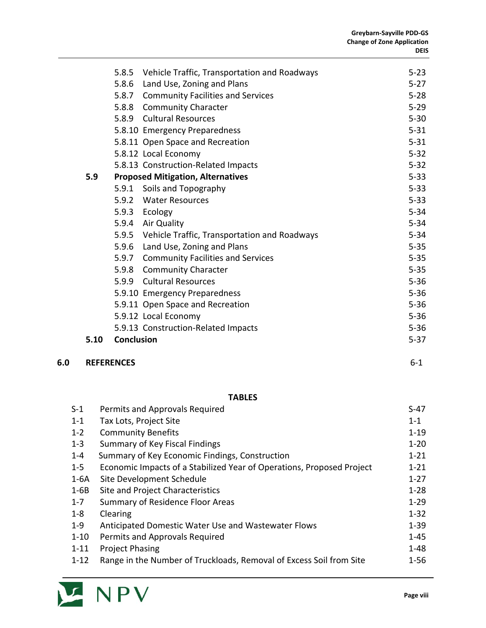|      |                   | 5.8.5 Vehicle Traffic, Transportation and Roadways | $5 - 23$ |
|------|-------------------|----------------------------------------------------|----------|
|      |                   |                                                    | $5 - 27$ |
|      |                   | 5.8.6 Land Use, Zoning and Plans                   |          |
|      |                   | 5.8.7 Community Facilities and Services            | $5 - 28$ |
|      |                   | 5.8.8 Community Character                          | $5 - 29$ |
|      |                   | 5.8.9 Cultural Resources                           | $5 - 30$ |
|      |                   | 5.8.10 Emergency Preparedness                      | $5 - 31$ |
|      |                   | 5.8.11 Open Space and Recreation                   | $5 - 31$ |
|      |                   | 5.8.12 Local Economy                               | $5 - 32$ |
|      |                   | 5.8.13 Construction-Related Impacts                | $5 - 32$ |
| 5.9  |                   | <b>Proposed Mitigation, Alternatives</b>           | $5 - 33$ |
|      |                   | 5.9.1 Soils and Topography                         | $5 - 33$ |
|      |                   | 5.9.2 Water Resources                              | $5 - 33$ |
|      |                   | 5.9.3 Ecology                                      | $5 - 34$ |
|      |                   | 5.9.4 Air Quality                                  | $5 - 34$ |
|      |                   | 5.9.5 Vehicle Traffic, Transportation and Roadways | $5 - 34$ |
|      |                   | 5.9.6 Land Use, Zoning and Plans                   | $5 - 35$ |
|      |                   | 5.9.7 Community Facilities and Services            | $5 - 35$ |
|      |                   | 5.9.8 Community Character                          | $5 - 35$ |
|      |                   | 5.9.9 Cultural Resources                           | $5 - 36$ |
|      |                   | 5.9.10 Emergency Preparedness                      | $5 - 36$ |
|      |                   | 5.9.11 Open Space and Recreation                   | $5 - 36$ |
|      |                   | 5.9.12 Local Economy                               | $5 - 36$ |
|      |                   | 5.9.13 Construction-Related Impacts                | $5 - 36$ |
| 5.10 | <b>Conclusion</b> |                                                    | $5 - 37$ |

### **6.0 REFERENCES** 6-1

# **TABLES**

| $S-1$    | Permits and Approvals Required                                        | $S-47$   |
|----------|-----------------------------------------------------------------------|----------|
| $1 - 1$  | Tax Lots, Project Site                                                | $1 - 1$  |
| $1 - 2$  | <b>Community Benefits</b>                                             | $1 - 19$ |
| $1 - 3$  | Summary of Key Fiscal Findings                                        | $1 - 20$ |
| $1 - 4$  | Summary of Key Economic Findings, Construction                        | $1 - 21$ |
| $1 - 5$  | Economic Impacts of a Stabilized Year of Operations, Proposed Project | $1 - 21$ |
| $1-6A$   | Site Development Schedule                                             | $1 - 27$ |
| $1-6B$   | Site and Project Characteristics                                      | $1 - 28$ |
| $1 - 7$  | <b>Summary of Residence Floor Areas</b>                               | $1 - 29$ |
| $1 - 8$  | Clearing                                                              | $1 - 32$ |
| $1 - 9$  | Anticipated Domestic Water Use and Wastewater Flows                   | $1 - 39$ |
| $1 - 10$ | Permits and Approvals Required                                        | $1 - 45$ |
| $1 - 11$ | <b>Project Phasing</b>                                                | $1 - 48$ |
| $1 - 12$ | Range in the Number of Truckloads, Removal of Excess Soil from Site   | $1 - 56$ |

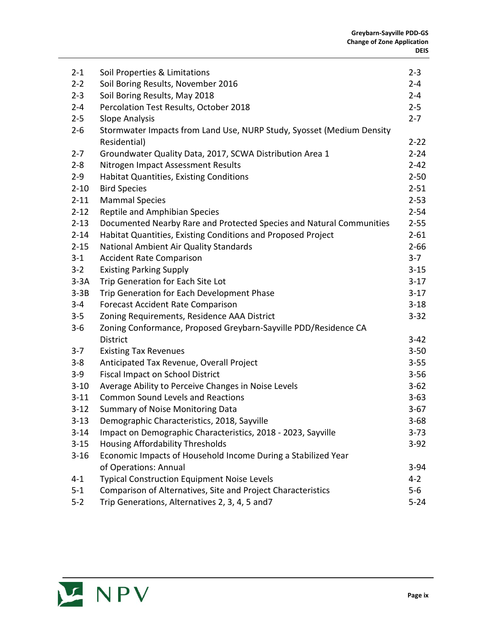| $2 - 1$  | Soil Properties & Limitations                                         | $2 - 3$  |
|----------|-----------------------------------------------------------------------|----------|
| $2 - 2$  | Soil Boring Results, November 2016                                    | $2 - 4$  |
| $2 - 3$  | Soil Boring Results, May 2018                                         | $2 - 4$  |
| $2 - 4$  | Percolation Test Results, October 2018                                | $2 - 5$  |
| $2 - 5$  | <b>Slope Analysis</b>                                                 | $2 - 7$  |
| $2 - 6$  | Stormwater Impacts from Land Use, NURP Study, Syosset (Medium Density |          |
|          | Residential)                                                          | $2 - 22$ |
| $2 - 7$  | Groundwater Quality Data, 2017, SCWA Distribution Area 1              | $2 - 24$ |
| $2 - 8$  | Nitrogen Impact Assessment Results                                    | $2 - 42$ |
| $2 - 9$  | <b>Habitat Quantities, Existing Conditions</b>                        | $2 - 50$ |
| $2 - 10$ | <b>Bird Species</b>                                                   | $2 - 51$ |
| $2 - 11$ | <b>Mammal Species</b>                                                 | $2 - 53$ |
| $2 - 12$ | Reptile and Amphibian Species                                         | $2 - 54$ |
| $2 - 13$ | Documented Nearby Rare and Protected Species and Natural Communities  | $2 - 55$ |
| $2 - 14$ | Habitat Quantities, Existing Conditions and Proposed Project          | $2 - 61$ |
| $2 - 15$ | National Ambient Air Quality Standards                                | $2 - 66$ |
| $3 - 1$  | <b>Accident Rate Comparison</b>                                       | $3 - 7$  |
| $3 - 2$  | <b>Existing Parking Supply</b>                                        | $3 - 15$ |
| $3-3A$   | Trip Generation for Each Site Lot                                     | $3 - 17$ |
| $3-3B$   | Trip Generation for Each Development Phase                            | $3 - 17$ |
| $3 - 4$  | <b>Forecast Accident Rate Comparison</b>                              | $3 - 18$ |
| $3 - 5$  | Zoning Requirements, Residence AAA District                           | $3 - 32$ |
| $3-6$    | Zoning Conformance, Proposed Greybarn-Sayville PDD/Residence CA       |          |
|          | District                                                              | $3 - 42$ |
| $3 - 7$  | <b>Existing Tax Revenues</b>                                          | $3 - 50$ |
| $3-8$    | Anticipated Tax Revenue, Overall Project                              | $3 - 55$ |
| $3-9$    | <b>Fiscal Impact on School District</b>                               | $3 - 56$ |
| $3 - 10$ | Average Ability to Perceive Changes in Noise Levels                   | $3 - 62$ |
| $3 - 11$ | <b>Common Sound Levels and Reactions</b>                              | $3 - 63$ |
| $3 - 12$ | Summary of Noise Monitoring Data                                      | $3 - 67$ |
| $3 - 13$ | Demographic Characteristics, 2018, Sayville                           | $3 - 68$ |
| $3 - 14$ | Impact on Demographic Characteristics, 2018 - 2023, Sayville          | $3 - 73$ |
| $3 - 15$ | Housing Affordability Thresholds                                      | $3-92$   |
| $3 - 16$ | Economic Impacts of Household Income During a Stabilized Year         |          |
|          | of Operations: Annual                                                 | $3 - 94$ |
| $4 - 1$  | <b>Typical Construction Equipment Noise Levels</b>                    | $4 - 2$  |
| $5 - 1$  | Comparison of Alternatives, Site and Project Characteristics          | $5-6$    |
| $5 - 2$  | Trip Generations, Alternatives 2, 3, 4, 5 and7                        | $5 - 24$ |

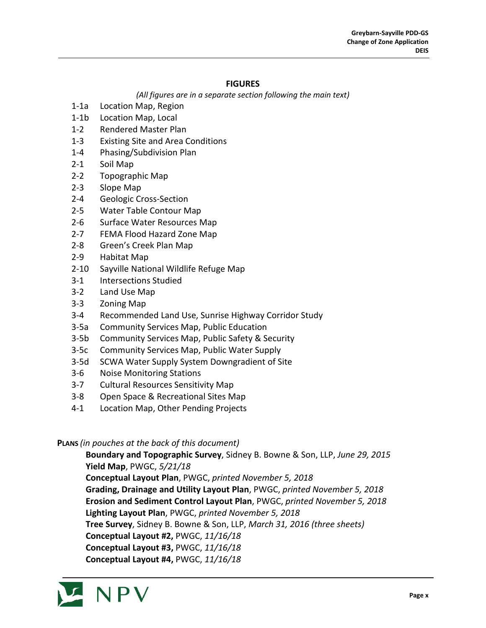#### **FIGURES**

*(All figures are in a separate section following the main text)*

- 1-1a Location Map, Region
- 1-1b Location Map, Local
- 1-2 Rendered Master Plan
- 1-3 Existing Site and Area Conditions
- 1-4 Phasing/Subdivision Plan
- 2-1 Soil Map
- 2-2 Topographic Map
- 2-3 Slope Map
- 2-4 Geologic Cross-Section
- 2-5 Water Table Contour Map
- 2-6 Surface Water Resources Map
- 2-7 FEMA Flood Hazard Zone Map
- 2-8 Green's Creek Plan Map
- 2-9 Habitat Map
- 2-10 Sayville National Wildlife Refuge Map
- 3-1 Intersections Studied
- 3-2 Land Use Map
- 3-3 Zoning Map
- 3-4 Recommended Land Use, Sunrise Highway Corridor Study
- 3-5a Community Services Map, Public Education
- 3-5b Community Services Map, Public Safety & Security
- 3-5c Community Services Map, Public Water Supply
- 3-5d SCWA Water Supply System Downgradient of Site
- 3-6 Noise Monitoring Stations
- 3-7 Cultural Resources Sensitivity Map
- 3-8 Open Space & Recreational Sites Map
- 4-1 Location Map, Other Pending Projects

#### **PLANS** *(in pouches at the back of this document)*

**Boundary and Topographic Survey**, Sidney B. Bowne & Son, LLP, *June 29, 2015* **Yield Map**, PWGC, *5/21/18* **Conceptual Layout Plan**, PWGC, *printed November 5, 2018* **Grading, Drainage and Utility Layout Plan**, PWGC, *printed November 5, 2018* **Erosion and Sediment Control Layout Plan**, PWGC, *printed November 5, 2018* **Lighting Layout Plan**, PWGC, *printed November 5, 2018* **Tree Survey**, Sidney B. Bowne & Son, LLP, *March 31, 2016 (three sheets)* **Conceptual Layout #2,** PWGC, *11/16/18* **Conceptual Layout #3,** PWGC, *11/16/18* **Conceptual Layout #4,** PWGC, *11/16/18*

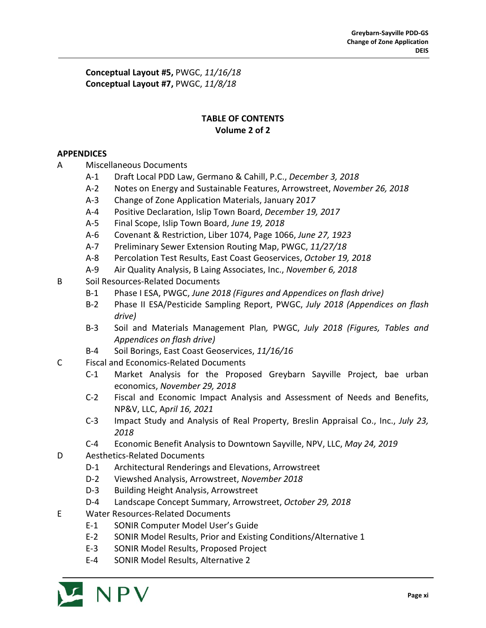**Conceptual Layout #5,** PWGC, *11/16/18* **Conceptual Layout #7,** PWGC, *11/8/18*

## **TABLE OF CONTENTS Volume 2 of 2**

## **APPENDICES**

- A Miscellaneous Documents
	- A-1 Draft Local PDD Law, Germano & Cahill, P.C., *December 3, 2018*
	- A-2 Notes on Energy and Sustainable Features, Arrowstreet, *November 26, 2018*
	- A-3 Change of Zone Application Materials, January 20*17*
	- A-4 Positive Declaration, Islip Town Board, *December 19, 2017*
	- A-5 Final Scope, Islip Town Board, *June 19, 2018*
	- A-6 Covenant & Restriction, Liber 1074, Page 1066, *June 27, 1923*
	- A-7 Preliminary Sewer Extension Routing Map, PWGC, *11/27/18*
	- A-8 Percolation Test Results, East Coast Geoservices, *October 19, 2018*
	- A-9 Air Quality Analysis, B Laing Associates, Inc., *November 6, 2018*
- B Soil Resources-Related Documents
	- B-1 Phase I ESA, PWGC, *June 2018 (Figures and Appendices on flash drive)*
	- B-2 Phase II ESA/Pesticide Sampling Report, PWGC, *July 2018 (Appendices on flash drive)*
	- B-3 Soil and Materials Management Plan*,* PWGC, *July 2018 (Figures, Tables and Appendices on flash drive)*
	- B-4 Soil Borings, East Coast Geoservices, *11/16/16*
- C Fiscal and Economics-Related Documents
	- C-1 Market Analysis for the Proposed Greybarn Sayville Project, bae urban economics, *November 29, 2018*
	- C-2 Fiscal and Economic Impact Analysis and Assessment of Needs and Benefits, NP&V, LLC, Ap*ril 16, 2021*
	- C-3 Impact Study and Analysis of Real Property, Breslin Appraisal Co., Inc., *July 23, 2018*
	- C-4 Economic Benefit Analysis to Downtown Sayville, NPV, LLC, *May 24, 2019*
- D Aesthetics-Related Documents
	- D-1 Architectural Renderings and Elevations, Arrowstreet
	- D-2 Viewshed Analysis, Arrowstreet, *November 2018*
	- D-3 Building Height Analysis, Arrowstreet
	- D-4 Landscape Concept Summary, Arrowstreet, *October 29, 2018*
- E Water Resources-Related Documents
	- E-1 SONIR Computer Model User's Guide
	- E-2 SONIR Model Results, Prior and Existing Conditions/Alternative 1
	- E-3 SONIR Model Results, Proposed Project
	- E-4 SONIR Model Results, Alternative 2